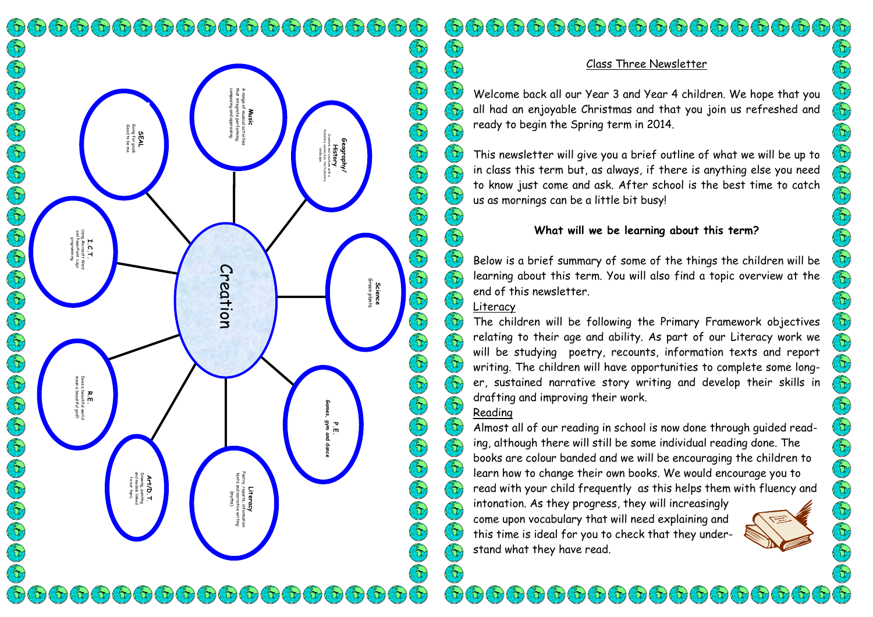$\left(\mathfrak{D}\left(\mathfrak{D}\left(\mathfrak{D}\right)\mathfrak{D}\left(\mathfrak{D}\right)\mathfrak{D}\left(\mathfrak{D}\right)\mathfrak{D}\left(\mathfrak{D}\right)\mathfrak{D}\left(\mathfrak{D}\right)\mathfrak{D}\left(\mathfrak{D}\right)\mathfrak{D}\left(\mathfrak{D}\right)\mathfrak{D}\left(\mathfrak{D}\right)\mathfrak{D}\left(\mathfrak{D}\right)\mathfrak{D}\left(\mathfrak{D}\right)\mathfrak{D}\left(\mathfrak{D}\right)\mathfrak{D}\left(\mathfrak{D}\right)\mathfrak{D}\left(\mathfrak{D}\right)\math$ **SEAL<br><sup>Going for goals<br>Good to be me**</sup> Good to be me. Going for goals. Using Microsoft Word and PowerPoint. Logo **I.C.T.**<br>Ing Microsoft<br>IndewerPoint.<br>Programming programming. **R.E.**<br>Does a beautiful world<br>mean a beautiful god?. mean a beautiful god?. Does a beautiful world and models linked Drawing, painting Art/D.T. to our topic.  $\mathcal{F}_{\mathcal{O}}(\mathbb{G})(\mathbb{G})(\mathbb{G})(\mathbb{G})(\mathbb{G})(\mathbb{G})(\mathbb{G})(\mathbb{G})(\mathbb{G})(\mathbb{G})(\mathbb{G})(\mathbb{G})(\mathbb{G})$ 

Creation

Literacy Poetry, reports, information texts and narrative writing (myths).

Music composing and appraising. that integrate performing, A range of musical activities

# Er) Children Children Children Children  $\left(\begin{matrix} 2 \\ 1 \end{matrix}\right)$  $\left(\begin{matrix} \epsilon_1 \\ \epsilon_2 \end{matrix}\right)$ (Er)  $\left(\begin{smallmatrix} 2\\ 1\end{smallmatrix}\right)$  $\mathbb{G}$  $\bigcirc$ Er)  $\bigl( \begin{smallmatrix} \epsilon_1 \ 0 \end{smallmatrix} \bigr)$ E  $(\epsilon)$ O O O O O O O O O O O O O O (tr)  $(\epsilon)$  $\left(\begin{smallmatrix} 2\\ 0\end{smallmatrix}\right)$  $\left(\begin{smallmatrix} 2 & 0 \\ 0 & 1 \end{smallmatrix}\right)$ (fr) E  $\bigcirc$  $\mathfrak{F}$  $\Theta$  $\left(\begin{matrix} 2 \\ 1 \end{matrix}\right)$  $\mathcal{E}$  $\bigcirc$  $\bigcirc$  $\Theta$  $\mathcal{L}(\mathbf{r})$

Science Green plants.

Geography/ History Creators and creations with a Yorkshire connection; the Yorkshire landscape.

> P.E. Games, gym and dance

> > $\mathcal{L}(\mathcal{D})$

### Class Three Newsletter

Welcome back all our Year 3 and Year 4 children. We hope that you all had an enjoyable Christmas and that you join us refreshed and ready to begin the Spring term in 2014.

This newsletter will give you a brief outline of what we will be up to in class this term but, as always, if there is anything else you need to know just come and ask. After school is the best time to catch us as mornings can be a little bit busy!

## What will we be learning about this term?

Below is a brief summary of some of the things the children will be learning about this term. You will also find a topic overview at the end of this newsletter.

### Literacy

The children will be following the Primary Framework objectives relating to their age and ability. As part of our Literacy work we will be studying poetry, recounts, information texts and report writing. The children will have opportunities to complete some longer, sustained narrative story writing and develop their skills in drafting and improving their work.

# Reading

Almost all of our reading in school is now done through guided reading, although there will still be some individual reading done. The books are colour banded and we will be encouraging the children to learn how to change their own books. We would encourage you to read with your child frequently as this helps them with fluency and

intonation. As they progress, they will increasingly come upon vocabulary that will need explaining and this time is ideal for you to check that they understand what they have read.